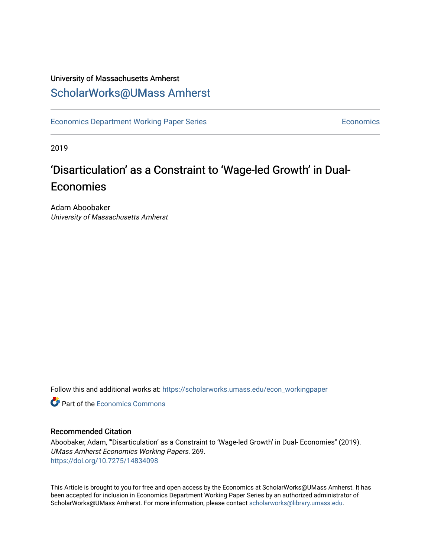# University of Massachusetts Amherst [ScholarWorks@UMass Amherst](https://scholarworks.umass.edu/)

[Economics Department Working Paper Series](https://scholarworks.umass.edu/econ_workingpaper) **Economics** Economics

2019

# 'Disarticulation' as a Constraint to 'Wage-led Growth' in Dual-Economies

Adam Aboobaker University of Massachusetts Amherst

Follow this and additional works at: [https://scholarworks.umass.edu/econ\\_workingpaper](https://scholarworks.umass.edu/econ_workingpaper?utm_source=scholarworks.umass.edu%2Fecon_workingpaper%2F269&utm_medium=PDF&utm_campaign=PDFCoverPages) 

**C** Part of the [Economics Commons](http://network.bepress.com/hgg/discipline/340?utm_source=scholarworks.umass.edu%2Fecon_workingpaper%2F269&utm_medium=PDF&utm_campaign=PDFCoverPages)

#### Recommended Citation

Aboobaker, Adam, "'Disarticulation' as a Constraint to 'Wage-led Growth' in Dual- Economies" (2019). UMass Amherst Economics Working Papers. 269. <https://doi.org/10.7275/14834098>

This Article is brought to you for free and open access by the Economics at ScholarWorks@UMass Amherst. It has been accepted for inclusion in Economics Department Working Paper Series by an authorized administrator of ScholarWorks@UMass Amherst. For more information, please contact [scholarworks@library.umass.edu.](mailto:scholarworks@library.umass.edu)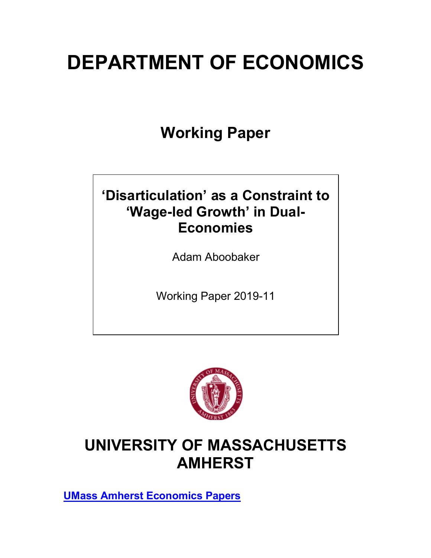# **DEPARTMENT OF ECONOMICS**

**Working Paper**

# **'Disarticulation' as a Constraint to 'Wage-led Growth' in Dual-Economies**

Adam Aboobaker

Working Paper 2019-11



# **UNIVERSITY OF MASSACHUSETTS AMHERST**

**UMass Amherst Economics Papers**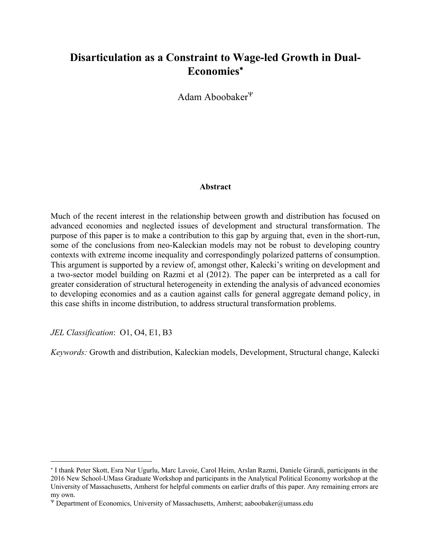# **Disarticulation as a Constraint to Wage-led Growth in Dual-Economies**\*

Adam Aboobaker $\Psi$ 

#### **Abstract**

Much of the recent interest in the relationship between growth and distribution has focused on advanced economies and neglected issues of development and structural transformation. The purpose of this paper is to make a contribution to this gap by arguing that, even in the short-run, some of the conclusions from neo-Kaleckian models may not be robust to developing country contexts with extreme income inequality and correspondingly polarized patterns of consumption. This argument is supported by a review of, amongst other, Kalecki's writing on development and a two-sector model building on Razmi et al (2012). The paper can be interpreted as a call for greater consideration of structural heterogeneity in extending the analysis of advanced economies to developing economies and as a caution against calls for general aggregate demand policy, in this case shifts in income distribution, to address structural transformation problems.

*JEL Classification*: O1, O4, E1, B3

 $\overline{a}$ 

*Keywords:* Growth and distribution, Kaleckian models, Development, Structural change, Kalecki

<sup>\*</sup> I thank Peter Skott, Esra Nur Ugurlu, Marc Lavoie, Carol Heim, Arslan Razmi, Daniele Girardi, participants in the 2016 New School-UMass Graduate Workshop and participants in the Analytical Political Economy workshop at the University of Massachusetts, Amherst for helpful comments on earlier drafts of this paper. Any remaining errors are my own.

 $\Psi$  Department of Economics, University of Massachusetts, Amherst; aaboobaker@umass.edu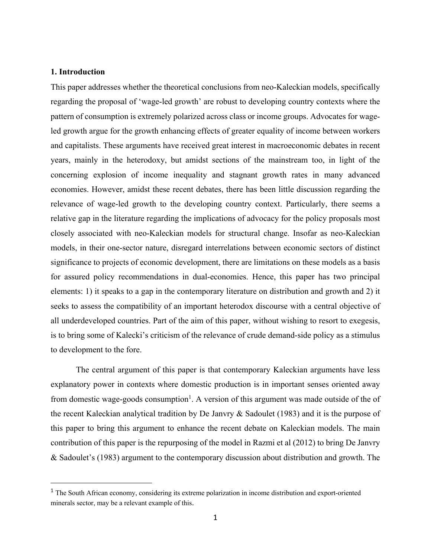#### **1. Introduction**

This paper addresses whether the theoretical conclusions from neo-Kaleckian models, specifically regarding the proposal of 'wage-led growth' are robust to developing country contexts where the pattern of consumption is extremely polarized across class or income groups. Advocates for wageled growth argue for the growth enhancing effects of greater equality of income between workers and capitalists. These arguments have received great interest in macroeconomic debates in recent years, mainly in the heterodoxy, but amidst sections of the mainstream too, in light of the concerning explosion of income inequality and stagnant growth rates in many advanced economies. However, amidst these recent debates, there has been little discussion regarding the relevance of wage-led growth to the developing country context. Particularly, there seems a relative gap in the literature regarding the implications of advocacy for the policy proposals most closely associated with neo-Kaleckian models for structural change. Insofar as neo-Kaleckian models, in their one-sector nature, disregard interrelations between economic sectors of distinct significance to projects of economic development, there are limitations on these models as a basis for assured policy recommendations in dual-economies. Hence, this paper has two principal elements: 1) it speaks to a gap in the contemporary literature on distribution and growth and 2) it seeks to assess the compatibility of an important heterodox discourse with a central objective of all underdeveloped countries. Part of the aim of this paper, without wishing to resort to exegesis, is to bring some of Kalecki's criticism of the relevance of crude demand-side policy as a stimulus to development to the fore.

The central argument of this paper is that contemporary Kaleckian arguments have less explanatory power in contexts where domestic production is in important senses oriented away from domestic wage-goods consumption<sup>1</sup>. A version of this argument was made outside of the of the recent Kaleckian analytical tradition by De Janvry & Sadoulet (1983) and it is the purpose of this paper to bring this argument to enhance the recent debate on Kaleckian models. The main contribution of this paper is the repurposing of the model in Razmi et al (2012) to bring De Janvry & Sadoulet's (1983) argument to the contemporary discussion about distribution and growth. The

<sup>&</sup>lt;sup>1</sup> The South African economy, considering its extreme polarization in income distribution and export-oriented minerals sector, may be a relevant example of this.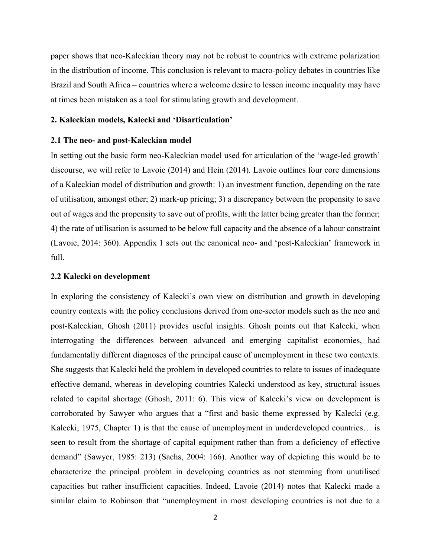paper shows that neo-Kaleckian theory may not be robust to countries with extreme polarization in the distribution of income. This conclusion is relevant to macro-policy debates in countries like Brazil and South Africa – countries where a welcome desire to lessen income inequality may have at times been mistaken as a tool for stimulating growth and development.

#### **2. Kaleckian models, Kalecki and 'Disarticulation'**

#### **2.1 The neo- and post-Kaleckian model**

In setting out the basic form neo-Kaleckian model used for articulation of the 'wage-led growth' discourse, we will refer to Lavoie (2014) and Hein (2014). Lavoie outlines four core dimensions of a Kaleckian model of distribution and growth: 1) an investment function, depending on the rate of utilisation, amongst other; 2) mark-up pricing; 3) a discrepancy between the propensity to save out of wages and the propensity to save out of profits, with the latter being greater than the former; 4) the rate of utilisation is assumed to be below full capacity and the absence of a labour constraint (Lavoie, 2014: 360). Appendix 1 sets out the canonical neo- and 'post-Kaleckian' framework in full.

#### **2.2 Kalecki on development**

In exploring the consistency of Kalecki's own view on distribution and growth in developing country contexts with the policy conclusions derived from one-sector models such as the neo and post-Kaleckian, Ghosh (2011) provides useful insights. Ghosh points out that Kalecki, when interrogating the differences between advanced and emerging capitalist economies, had fundamentally different diagnoses of the principal cause of unemployment in these two contexts. She suggests that Kalecki held the problem in developed countries to relate to issues of inadequate effective demand, whereas in developing countries Kalecki understood as key, structural issues related to capital shortage (Ghosh, 2011: 6). This view of Kalecki's view on development is corroborated by Sawyer who argues that a "first and basic theme expressed by Kalecki (e.g. Kalecki, 1975, Chapter 1) is that the cause of unemployment in underdeveloped countries... is seen to result from the shortage of capital equipment rather than from a deficiency of effective demand" (Sawyer, 1985: 213) (Sachs, 2004: 166). Another way of depicting this would be to characterize the principal problem in developing countries as not stemming from unutilised capacities but rather insufficient capacities. Indeed, Lavoie (2014) notes that Kalecki made a similar claim to Robinson that "unemployment in most developing countries is not due to a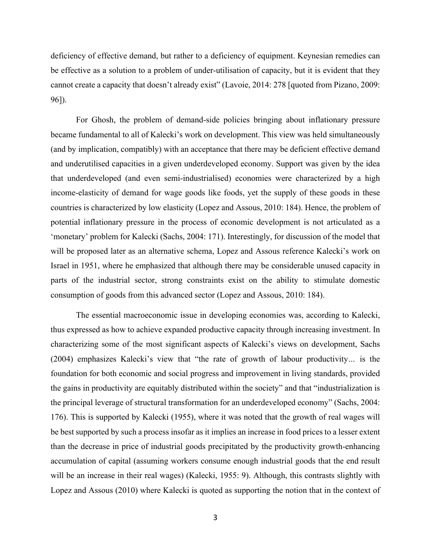deficiency of effective demand, but rather to a deficiency of equipment. Keynesian remedies can be effective as a solution to a problem of under-utilisation of capacity, but it is evident that they cannot create a capacity that doesn't already exist" (Lavoie, 2014: 278 [quoted from Pizano, 2009: 96]).

For Ghosh, the problem of demand-side policies bringing about inflationary pressure became fundamental to all of Kalecki's work on development. This view was held simultaneously (and by implication, compatibly) with an acceptance that there may be deficient effective demand and underutilised capacities in a given underdeveloped economy. Support was given by the idea that underdeveloped (and even semi-industrialised) economies were characterized by a high income-elasticity of demand for wage goods like foods, yet the supply of these goods in these countries is characterized by low elasticity (Lopez and Assous, 2010: 184). Hence, the problem of potential inflationary pressure in the process of economic development is not articulated as a 'monetary' problem for Kalecki (Sachs, 2004: 171). Interestingly, for discussion of the model that will be proposed later as an alternative schema, Lopez and Assous reference Kalecki's work on Israel in 1951, where he emphasized that although there may be considerable unused capacity in parts of the industrial sector, strong constraints exist on the ability to stimulate domestic consumption of goods from this advanced sector (Lopez and Assous, 2010: 184).

The essential macroeconomic issue in developing economies was, according to Kalecki, thus expressed as how to achieve expanded productive capacity through increasing investment. In characterizing some of the most significant aspects of Kalecki's views on development, Sachs (2004) emphasizes Kalecki's view that "the rate of growth of labour productivity*…* is the foundation for both economic and social progress and improvement in living standards, provided the gains in productivity are equitably distributed within the society" and that "industrialization is the principal leverage of structural transformation for an underdeveloped economy" (Sachs, 2004: 176). This is supported by Kalecki (1955), where it was noted that the growth of real wages will be best supported by such a process insofar as it implies an increase in food prices to a lesser extent than the decrease in price of industrial goods precipitated by the productivity growth-enhancing accumulation of capital (assuming workers consume enough industrial goods that the end result will be an increase in their real wages) (Kalecki, 1955: 9). Although, this contrasts slightly with Lopez and Assous (2010) where Kalecki is quoted as supporting the notion that in the context of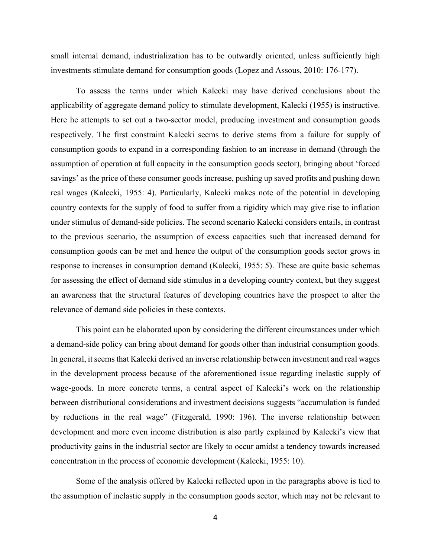small internal demand, industrialization has to be outwardly oriented, unless sufficiently high investments stimulate demand for consumption goods (Lopez and Assous, 2010: 176-177).

To assess the terms under which Kalecki may have derived conclusions about the applicability of aggregate demand policy to stimulate development, Kalecki (1955) is instructive. Here he attempts to set out a two-sector model, producing investment and consumption goods respectively. The first constraint Kalecki seems to derive stems from a failure for supply of consumption goods to expand in a corresponding fashion to an increase in demand (through the assumption of operation at full capacity in the consumption goods sector), bringing about 'forced savings' as the price of these consumer goods increase, pushing up saved profits and pushing down real wages (Kalecki, 1955: 4). Particularly, Kalecki makes note of the potential in developing country contexts for the supply of food to suffer from a rigidity which may give rise to inflation under stimulus of demand-side policies. The second scenario Kalecki considers entails, in contrast to the previous scenario, the assumption of excess capacities such that increased demand for consumption goods can be met and hence the output of the consumption goods sector grows in response to increases in consumption demand (Kalecki, 1955: 5). These are quite basic schemas for assessing the effect of demand side stimulus in a developing country context, but they suggest an awareness that the structural features of developing countries have the prospect to alter the relevance of demand side policies in these contexts.

This point can be elaborated upon by considering the different circumstances under which a demand-side policy can bring about demand for goods other than industrial consumption goods. In general, it seems that Kalecki derived an inverse relationship between investment and real wages in the development process because of the aforementioned issue regarding inelastic supply of wage-goods. In more concrete terms, a central aspect of Kalecki's work on the relationship between distributional considerations and investment decisions suggests "accumulation is funded by reductions in the real wage" (Fitzgerald, 1990: 196). The inverse relationship between development and more even income distribution is also partly explained by Kalecki's view that productivity gains in the industrial sector are likely to occur amidst a tendency towards increased concentration in the process of economic development (Kalecki, 1955: 10).

Some of the analysis offered by Kalecki reflected upon in the paragraphs above is tied to the assumption of inelastic supply in the consumption goods sector, which may not be relevant to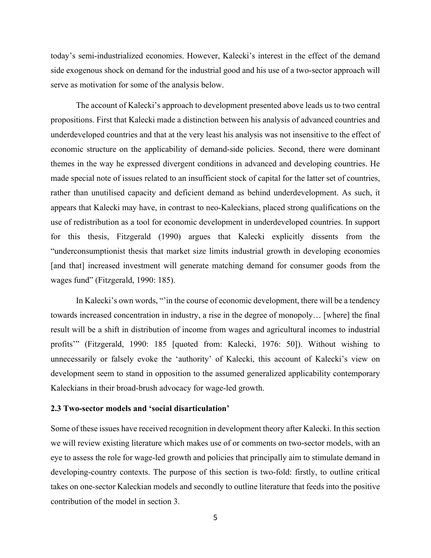today's semi-industrialized economies. However, Kalecki's interest in the effect of the demand side exogenous shock on demand for the industrial good and his use of a two-sector approach will serve as motivation for some of the analysis below.

The account of Kalecki's approach to development presented above leads us to two central propositions. First that Kalecki made a distinction between his analysis of advanced countries and underdeveloped countries and that at the very least his analysis was not insensitive to the effect of economic structure on the applicability of demand-side policies. Second, there were dominant themes in the way he expressed divergent conditions in advanced and developing countries. He made special note of issues related to an insufficient stock of capital for the latter set of countries, rather than unutilised capacity and deficient demand as behind underdevelopment. As such, it appears that Kalecki may have, in contrast to neo-Kaleckians, placed strong qualifications on the use of redistribution as a tool for economic development in underdeveloped countries. In support for this thesis, Fitzgerald (1990) argues that Kalecki explicitly dissents from the "underconsumptionist thesis that market size limits industrial growth in developing economies [and that] increased investment will generate matching demand for consumer goods from the wages fund" (Fitzgerald, 1990: 185).

In Kalecki's own words, "'in the course of economic development, there will be a tendency towards increased concentration in industry, a rise in the degree of monopoly… [where] the final result will be a shift in distribution of income from wages and agricultural incomes to industrial profits'" (Fitzgerald, 1990: 185 [quoted from: Kalecki, 1976: 50]). Without wishing to unnecessarily or falsely evoke the 'authority' of Kalecki, this account of Kalecki's view on development seem to stand in opposition to the assumed generalized applicability contemporary Kaleckians in their broad-brush advocacy for wage-led growth.

#### **2.3 Two-sector models and 'social disarticulation'**

Some of these issues have received recognition in development theory after Kalecki. In this section we will review existing literature which makes use of or comments on two-sector models, with an eye to assess the role for wage-led growth and policies that principally aim to stimulate demand in developing-country contexts. The purpose of this section is two-fold: firstly, to outline critical takes on one-sector Kaleckian models and secondly to outline literature that feeds into the positive contribution of the model in section 3.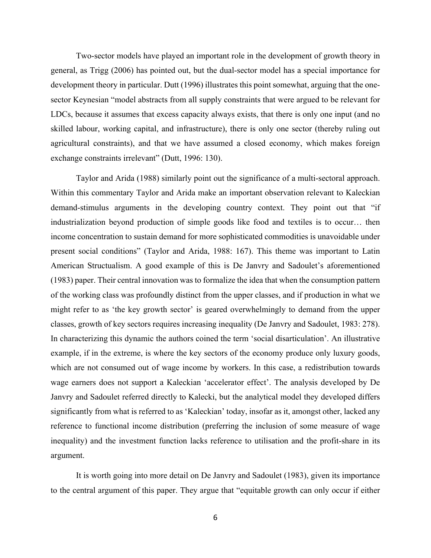Two-sector models have played an important role in the development of growth theory in general, as Trigg (2006) has pointed out, but the dual-sector model has a special importance for development theory in particular. Dutt (1996) illustrates this point somewhat, arguing that the onesector Keynesian "model abstracts from all supply constraints that were argued to be relevant for LDCs, because it assumes that excess capacity always exists, that there is only one input (and no skilled labour, working capital, and infrastructure), there is only one sector (thereby ruling out agricultural constraints), and that we have assumed a closed economy, which makes foreign exchange constraints irrelevant" (Dutt, 1996: 130).

Taylor and Arida (1988) similarly point out the significance of a multi-sectoral approach. Within this commentary Taylor and Arida make an important observation relevant to Kaleckian demand-stimulus arguments in the developing country context. They point out that "if industrialization beyond production of simple goods like food and textiles is to occur… then income concentration to sustain demand for more sophisticated commodities is unavoidable under present social conditions" (Taylor and Arida, 1988: 167). This theme was important to Latin American Structualism. A good example of this is De Janvry and Sadoulet's aforementioned (1983) paper. Their central innovation was to formalize the idea that when the consumption pattern of the working class was profoundly distinct from the upper classes, and if production in what we might refer to as 'the key growth sector' is geared overwhelmingly to demand from the upper classes, growth of key sectors requires increasing inequality (De Janvry and Sadoulet, 1983: 278). In characterizing this dynamic the authors coined the term 'social disarticulation'. An illustrative example, if in the extreme, is where the key sectors of the economy produce only luxury goods, which are not consumed out of wage income by workers. In this case, a redistribution towards wage earners does not support a Kaleckian 'accelerator effect'. The analysis developed by De Janvry and Sadoulet referred directly to Kalecki, but the analytical model they developed differs significantly from what is referred to as 'Kaleckian' today, insofar as it, amongst other, lacked any reference to functional income distribution (preferring the inclusion of some measure of wage inequality) and the investment function lacks reference to utilisation and the profit-share in its argument.

It is worth going into more detail on De Janvry and Sadoulet (1983), given its importance to the central argument of this paper. They argue that "equitable growth can only occur if either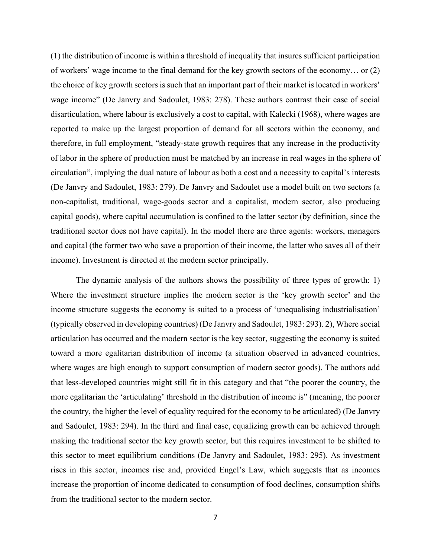(1) the distribution of income is within a threshold of inequality that insures sufficient participation of workers' wage income to the final demand for the key growth sectors of the economy… or (2) the choice of key growth sectors is such that an important part of their market is located in workers' wage income" (De Janvry and Sadoulet, 1983: 278). These authors contrast their case of social disarticulation, where labour is exclusively a cost to capital, with Kalecki (1968), where wages are reported to make up the largest proportion of demand for all sectors within the economy, and therefore, in full employment, "steady-state growth requires that any increase in the productivity of labor in the sphere of production must be matched by an increase in real wages in the sphere of circulation", implying the dual nature of labour as both a cost and a necessity to capital's interests (De Janvry and Sadoulet, 1983: 279). De Janvry and Sadoulet use a model built on two sectors (a non-capitalist, traditional, wage-goods sector and a capitalist, modern sector, also producing capital goods), where capital accumulation is confined to the latter sector (by definition, since the traditional sector does not have capital). In the model there are three agents: workers, managers and capital (the former two who save a proportion of their income, the latter who saves all of their income). Investment is directed at the modern sector principally.

The dynamic analysis of the authors shows the possibility of three types of growth: 1) Where the investment structure implies the modern sector is the 'key growth sector' and the income structure suggests the economy is suited to a process of 'unequalising industrialisation' (typically observed in developing countries) (De Janvry and Sadoulet, 1983: 293). 2), Where social articulation has occurred and the modern sector is the key sector, suggesting the economy is suited toward a more egalitarian distribution of income (a situation observed in advanced countries, where wages are high enough to support consumption of modern sector goods). The authors add that less-developed countries might still fit in this category and that "the poorer the country, the more egalitarian the 'articulating' threshold in the distribution of income is" (meaning, the poorer the country, the higher the level of equality required for the economy to be articulated) (De Janvry and Sadoulet, 1983: 294). In the third and final case, equalizing growth can be achieved through making the traditional sector the key growth sector, but this requires investment to be shifted to this sector to meet equilibrium conditions (De Janvry and Sadoulet, 1983: 295). As investment rises in this sector, incomes rise and, provided Engel's Law, which suggests that as incomes increase the proportion of income dedicated to consumption of food declines, consumption shifts from the traditional sector to the modern sector.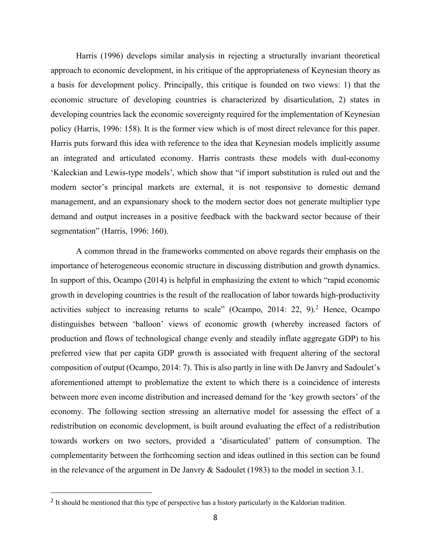Harris (1996) develops similar analysis in rejecting a structurally invariant theoretical approach to economic development, in his critique of the appropriateness of Keynesian theory as a basis for development policy. Principally, this critique is founded on two views: 1) that the economic structure of developing countries is characterized by disarticulation, 2) states in developing countries lack the economic sovereignty required for the implementation of Keynesian policy (Harris, 1996: 158). It is the former view which is of most direct relevance for this paper. Harris puts forward this idea with reference to the idea that Keynesian models implicitly assume an integrated and articulated economy. Harris contrasts these models with dual-economy 'Kaleckian and Lewis-type models', which show that "if import substitution is ruled out and the modern sector's principal markets are external, it is not responsive to domestic demand management, and an expansionary shock to the modern sector does not generate multiplier type demand and output increases in a positive feedback with the backward sector because of their segmentation" (Harris, 1996: 160).

A common thread in the frameworks commented on above regards their emphasis on the importance of heterogeneous economic structure in discussing distribution and growth dynamics. In support of this, Ocampo (2014) is helpful in emphasizing the extent to which "rapid economic growth in developing countries is the result of the reallocation of labor towards high-productivity activities subject to increasing returns to scale" (Ocampo, 2014: 22, 9).<sup>2</sup> Hence, Ocampo distinguishes between 'balloon' views of economic growth (whereby increased factors of production and flows of technological change evenly and steadily inflate aggregate GDP) to his preferred view that per capita GDP growth is associated with frequent altering of the sectoral composition of output (Ocampo, 2014: 7). This is also partly in line with De Janvry and Sadoulet's aforementioned attempt to problematize the extent to which there is a coincidence of interests between more even income distribution and increased demand for the 'key growth sectors' of the economy. The following section stressing an alternative model for assessing the effect of a redistribution on economic development, is built around evaluating the effect of a redistribution towards workers on two sectors, provided a 'disarticulated' pattern of consumption. The complementarity between the forthcoming section and ideas outlined in this section can be found in the relevance of the argument in De Janvry & Sadoulet (1983) to the model in section 3.1.

<sup>&</sup>lt;sup>2</sup> It should be mentioned that this type of perspective has a history particularly in the Kaldorian tradition.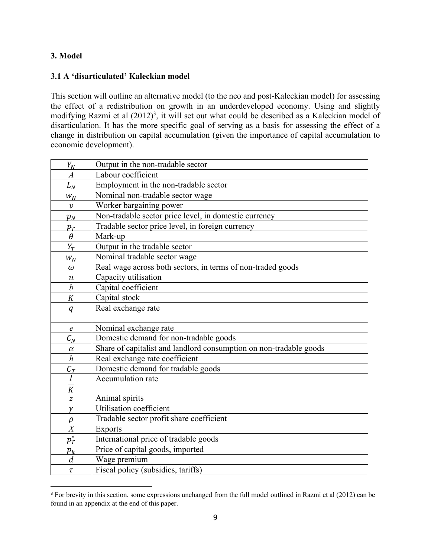### **3. Model**

### **3.1 A 'disarticulated' Kaleckian model**

This section will outline an alternative model (to the neo and post-Kaleckian model) for assessing the effect of a redistribution on growth in an underdeveloped economy. Using and slightly modifying Razmi et al  $(2012)^3$ , it will set out what could be described as a Kaleckian model of disarticulation. It has the more specific goal of serving as a basis for assessing the effect of a change in distribution on capital accumulation (given the importance of capital accumulation to economic development).

| $Y_N$                      | Output in the non-tradable sector                                  |
|----------------------------|--------------------------------------------------------------------|
| $\boldsymbol{A}$           | Labour coefficient                                                 |
| $L_N$                      | Employment in the non-tradable sector                              |
| $W_N$                      | Nominal non-tradable sector wage                                   |
| $\boldsymbol{\mathcal{V}}$ | Worker bargaining power                                            |
| $p_N$                      | Non-tradable sector price level, in domestic currency              |
| $p_T$                      | Tradable sector price level, in foreign currency                   |
| $\theta$                   | Mark-up                                                            |
| $Y_T$                      | Output in the tradable sector                                      |
| $W_N$                      | Nominal tradable sector wage                                       |
| $\omega$                   | Real wage across both sectors, in terms of non-traded goods        |
| $\boldsymbol{\mathcal{u}}$ | Capacity utilisation                                               |
| $\boldsymbol{b}$           | Capital coefficient                                                |
| K                          | Capital stock                                                      |
| q                          | Real exchange rate                                                 |
|                            |                                                                    |
| $\epsilon$                 | Nominal exchange rate                                              |
| $C_N$                      | Domestic demand for non-tradable goods                             |
| $\alpha$                   | Share of capitalist and landlord consumption on non-tradable goods |
| $\boldsymbol{h}$           | Real exchange rate coefficient                                     |
| $\mathcal{C}_T$            | Domestic demand for tradable goods                                 |
| $\overline{I}$             | Accumulation rate                                                  |
| $\frac{1}{K}$              |                                                                    |
| $\overline{z}$             | Animal spirits                                                     |
| $\gamma$                   | Utilisation coefficient                                            |
| $\rho$                     | Tradable sector profit share coefficient                           |
| $\overline{X}$             | <b>Exports</b>                                                     |
| $p_T^*$                    | International price of tradable goods                              |
| $p_k$                      | Price of capital goods, imported                                   |
| $\boldsymbol{d}$           | Wage premium                                                       |
| $\tau$                     | Fiscal policy (subsidies, tariffs)                                 |

<sup>&</sup>lt;sup>3</sup> For brevity in this section, some expressions unchanged from the full model outlined in Razmi et al (2012) can be found in an appendix at the end of this paper.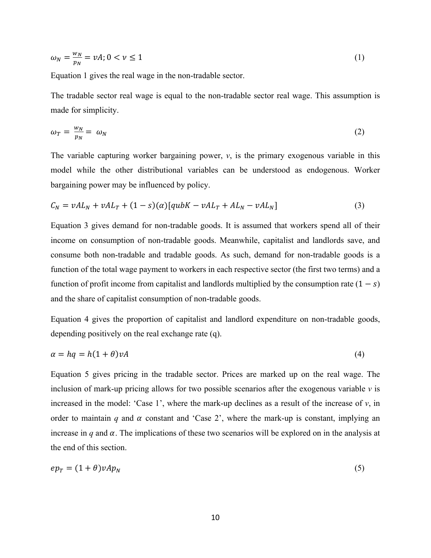$$
\omega_N = \frac{w_N}{p_N} = vA; 0 < \nu \le 1 \tag{1}
$$

Equation 1 gives the real wage in the non-tradable sector.

The tradable sector real wage is equal to the non-tradable sector real wage. This assumption is made for simplicity.

$$
\omega_T = \frac{w_N}{p_N} = \omega_N \tag{2}
$$

The variable capturing worker bargaining power, *v*, is the primary exogenous variable in this model while the other distributional variables can be understood as endogenous. Worker bargaining power may be influenced by policy.

$$
C_N = vAL_N + vAL_T + (1 - s)(\alpha)[qubK - vAL_T + AL_N - vAL_N]
$$
\n(3)

Equation 3 gives demand for non-tradable goods. It is assumed that workers spend all of their income on consumption of non-tradable goods. Meanwhile, capitalist and landlords save, and consume both non-tradable and tradable goods. As such, demand for non-tradable goods is a function of the total wage payment to workers in each respective sector (the first two terms) and a function of profit income from capitalist and landlords multiplied by the consumption rate  $(1 - s)$ and the share of capitalist consumption of non-tradable goods.

Equation 4 gives the proportion of capitalist and landlord expenditure on non-tradable goods, depending positively on the real exchange rate (q).

$$
\alpha = hq = h(1+\theta)\nu A \tag{4}
$$

Equation 5 gives pricing in the tradable sector. Prices are marked up on the real wage. The inclusion of mark-up pricing allows for two possible scenarios after the exogenous variable *v* is increased in the model: 'Case 1', where the mark-up declines as a result of the increase of *v*, in order to maintain *q* and  $\alpha$  constant and 'Case 2', where the mark-up is constant, implying an increase in  $q$  and  $\alpha$ . The implications of these two scenarios will be explored on in the analysis at the end of this section.

$$
ep_T = (1+\theta)vAp_N \tag{5}
$$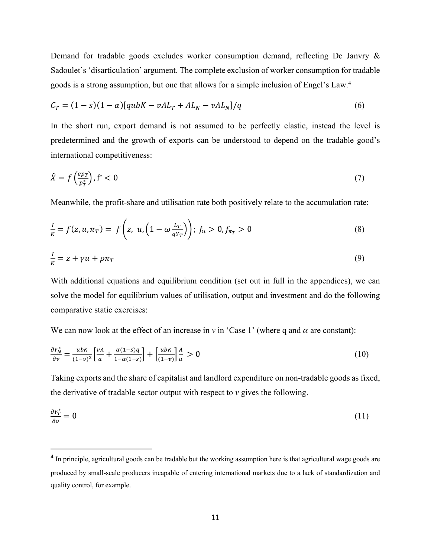Demand for tradable goods excludes worker consumption demand, reflecting De Janvry & Sadoulet's 'disarticulation' argument. The complete exclusion of worker consumption for tradable goods is a strong assumption, but one that allows for a simple inclusion of Engel's Law. 4

$$
C_T = (1 - s)(1 - \alpha)[qubK - vAL_T + AL_N - vAL_N]/q
$$
\n
$$
(6)
$$

In the short run, export demand is not assumed to be perfectly elastic, instead the level is predetermined and the growth of exports can be understood to depend on the tradable good's international competitiveness:

$$
\hat{X} = f\left(\frac{ep_T}{p_T^*}\right), \quad f' < 0 \tag{7}
$$

Meanwhile, the profit-share and utilisation rate both positively relate to the accumulation rate:

$$
\frac{I}{K} = f(z, u, \pi_T) = f\left(z, u, \left(1 - \omega \frac{L_T}{q Y_T}\right)\right); f_u > 0, f_{\pi_T} > 0 \tag{8}
$$

$$
\frac{I}{K} = z + \gamma u + \rho \pi_T \tag{9}
$$

With additional equations and equilibrium condition (set out in full in the appendices), we can solve the model for equilibrium values of utilisation, output and investment and do the following comparative static exercises:

We can now look at the effect of an increase in  $\nu$  in 'Case 1' (where q and  $\alpha$  are constant):

$$
\frac{\partial Y_N^*}{\partial v} = \frac{ubK}{(1-v)^2} \left[ \frac{vA}{a} + \frac{\alpha(1-s)q}{1-\alpha(1-s)} \right] + \left[ \frac{ubK}{(1-v)} \right] \frac{A}{a} > 0 \tag{10}
$$

Taking exports and the share of capitalist and landlord expenditure on non-tradable goods as fixed, the derivative of tradable sector output with respect to  $\nu$  gives the following.

$$
\frac{\partial Y_T^*}{\partial v} = 0 \tag{11}
$$

<sup>&</sup>lt;sup>4</sup> In principle, agricultural goods can be tradable but the working assumption here is that agricultural wage goods are produced by small-scale producers incapable of entering international markets due to a lack of standardization and quality control, for example.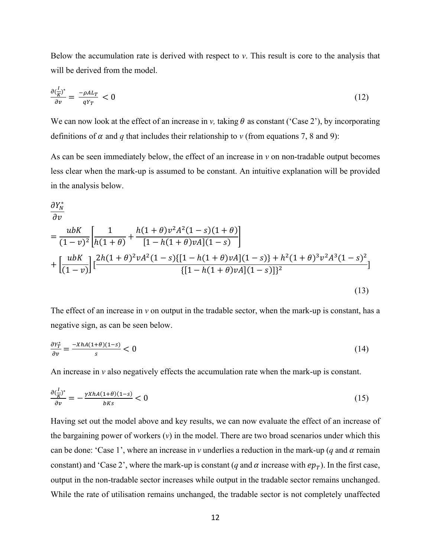Below the accumulation rate is derived with respect to *v*. This result is core to the analysis that will be derived from the model.

$$
\frac{\partial \left(\frac{I}{K}\right)^*}{\partial v} = \frac{-\rho A L_T}{q Y_T} < 0 \tag{12}
$$

We can now look at the effect of an increase in *v*, taking  $\theta$  as constant ('Case 2'), by incorporating definitions of  $\alpha$  and  $q$  that includes their relationship to  $\nu$  (from equations 7, 8 and 9):

As can be seen immediately below, the effect of an increase in *v* on non-tradable output becomes less clear when the mark-up is assumed to be constant. An intuitive explanation will be provided in the analysis below.

$$
\frac{\partial Y_N^*}{\partial v} = \frac{ubK}{(1-v)^2} \left[ \frac{1}{h(1+\theta)} + \frac{h(1+\theta)v^2A^2(1-s)(1+\theta)}{[1-h(1+\theta)vA](1-s)} \right] + \left[ \frac{ubK}{(1-v)} \right] \left[ \frac{2h(1+\theta)^2vA^2(1-s)\{[1-h(1+\theta)vA](1-s)\} + h^2(1+\theta)^3v^2A^3(1-s)^2}{\{[1-h(1+\theta)vA](1-s)\}^2} \right]
$$
\n(13)

The effect of an increase in *v* on output in the tradable sector, when the mark-up is constant, has a negative sign, as can be seen below.

$$
\frac{\partial Y_T^*}{\partial v} = \frac{-XhA(1+\theta)(1-s)}{s} < 0 \tag{14}
$$

An increase in *v* also negatively effects the accumulation rate when the mark-up is constant.

$$
\frac{\partial \left(\frac{I}{K}\right)^*}{\partial v} = -\frac{\gamma X h A (1+\theta)(1-s)}{b K s} < 0 \tag{15}
$$

Having set out the model above and key results, we can now evaluate the effect of an increase of the bargaining power of workers  $(v)$  in the model. There are two broad scenarios under which this can be done: 'Case 1', where an increase in *v* underlies a reduction in the mark-up (*q* and  $\alpha$  remain constant) and 'Case 2', where the mark-up is constant (*q* and  $\alpha$  increase with  $ep_T$ ). In the first case, output in the non-tradable sector increases while output in the tradable sector remains unchanged. While the rate of utilisation remains unchanged, the tradable sector is not completely unaffected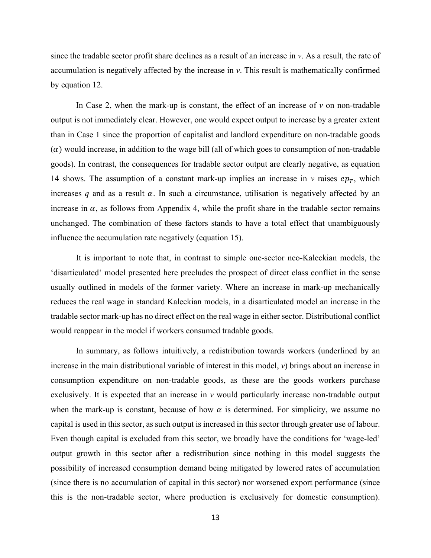since the tradable sector profit share declines as a result of an increase in *v*. As a result, the rate of accumulation is negatively affected by the increase in *v*. This result is mathematically confirmed by equation 12.

In Case 2, when the mark-up is constant, the effect of an increase of *v* on non-tradable output is not immediately clear. However, one would expect output to increase by a greater extent than in Case 1 since the proportion of capitalist and landlord expenditure on non-tradable goods  $(\alpha)$  would increase, in addition to the wage bill (all of which goes to consumption of non-tradable goods). In contrast, the consequences for tradable sector output are clearly negative, as equation 14 shows. The assumption of a constant mark-up implies an increase in *v* raises  $ep_T$ , which increases  $q$  and as a result  $\alpha$ . In such a circumstance, utilisation is negatively affected by an increase in  $\alpha$ , as follows from Appendix 4, while the profit share in the tradable sector remains unchanged. The combination of these factors stands to have a total effect that unambiguously influence the accumulation rate negatively (equation 15).

It is important to note that, in contrast to simple one-sector neo-Kaleckian models, the 'disarticulated' model presented here precludes the prospect of direct class conflict in the sense usually outlined in models of the former variety. Where an increase in mark-up mechanically reduces the real wage in standard Kaleckian models, in a disarticulated model an increase in the tradable sector mark-up has no direct effect on the real wage in either sector. Distributional conflict would reappear in the model if workers consumed tradable goods.

In summary, as follows intuitively, a redistribution towards workers (underlined by an increase in the main distributional variable of interest in this model,  $v$ ) brings about an increase in consumption expenditure on non-tradable goods, as these are the goods workers purchase exclusively. It is expected that an increase in *v* would particularly increase non-tradable output when the mark-up is constant, because of how  $\alpha$  is determined. For simplicity, we assume no capital is used in this sector, as such output is increased in this sector through greater use of labour. Even though capital is excluded from this sector, we broadly have the conditions for 'wage-led' output growth in this sector after a redistribution since nothing in this model suggests the possibility of increased consumption demand being mitigated by lowered rates of accumulation (since there is no accumulation of capital in this sector) nor worsened export performance (since this is the non-tradable sector, where production is exclusively for domestic consumption).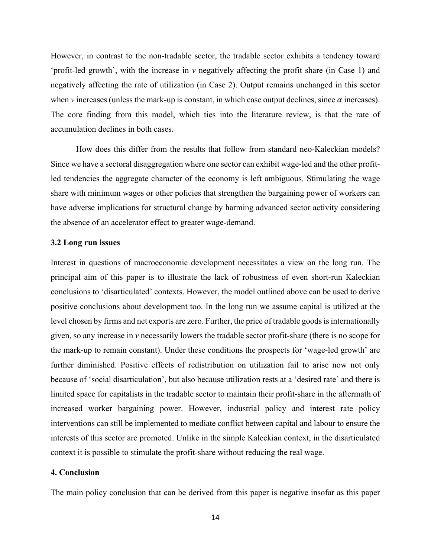However, in contrast to the non-tradable sector, the tradable sector exhibits a tendency toward 'profit-led growth', with the increase in *v* negatively affecting the profit share (in Case 1) and negatively affecting the rate of utilization (in Case 2). Output remains unchanged in this sector when *v* increases (unless the mark-up is constant, in which case output declines, since  $\alpha$  increases). The core finding from this model, which ties into the literature review, is that the rate of accumulation declines in both cases.

How does this differ from the results that follow from standard neo-Kaleckian models? Since we have a sectoral disaggregation where one sector can exhibit wage-led and the other profitled tendencies the aggregate character of the economy is left ambiguous. Stimulating the wage share with minimum wages or other policies that strengthen the bargaining power of workers can have adverse implications for structural change by harming advanced sector activity considering the absence of an accelerator effect to greater wage-demand.

#### **3.2 Long run issues**

Interest in questions of macroeconomic development necessitates a view on the long run. The principal aim of this paper is to illustrate the lack of robustness of even short-run Kaleckian conclusions to 'disarticulated' contexts. However, the model outlined above can be used to derive positive conclusions about development too. In the long run we assume capital is utilized at the level chosen by firms and net exports are zero. Further, the price of tradable goods is internationally given, so any increase in *v* necessarily lowers the tradable sector profit-share (there is no scope for the mark-up to remain constant). Under these conditions the prospects for 'wage-led growth' are further diminished. Positive effects of redistribution on utilization fail to arise now not only because of 'social disarticulation', but also because utilization rests at a 'desired rate' and there is limited space for capitalists in the tradable sector to maintain their profit-share in the aftermath of increased worker bargaining power. However, industrial policy and interest rate policy interventions can still be implemented to mediate conflict between capital and labour to ensure the interests of this sector are promoted. Unlike in the simple Kaleckian context, in the disarticulated context it is possible to stimulate the profit-share without reducing the real wage.

#### **4. Conclusion**

The main policy conclusion that can be derived from this paper is negative insofar as this paper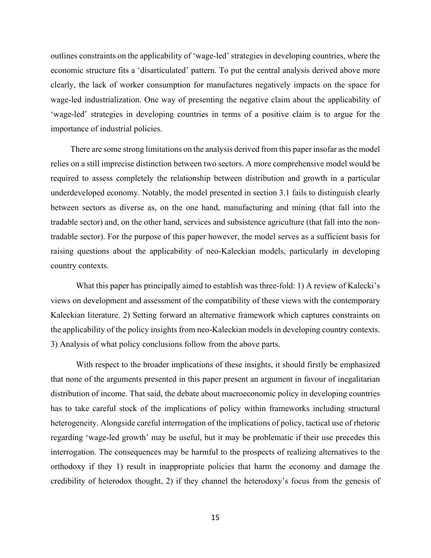outlines constraints on the applicability of 'wage-led' strategies in developing countries, where the economic structure fits a 'disarticulated' pattern. To put the central analysis derived above more clearly, the lack of worker consumption for manufactures negatively impacts on the space for wage-led industrialization. One way of presenting the negative claim about the applicability of 'wage-led' strategies in developing countries in terms of a positive claim is to argue for the importance of industrial policies.

There are some strong limitations on the analysis derived from this paper insofar as the model relies on a still imprecise distinction between two sectors. A more comprehensive model would be required to assess completely the relationship between distribution and growth in a particular underdeveloped economy. Notably, the model presented in section 3.1 fails to distinguish clearly between sectors as diverse as, on the one hand, manufacturing and mining (that fall into the tradable sector) and, on the other hand, services and subsistence agriculture (that fall into the nontradable sector). For the purpose of this paper however, the model serves as a sufficient basis for raising questions about the applicability of neo-Kaleckian models, particularly in developing country contexts.

What this paper has principally aimed to establish was three-fold: 1) A review of Kalecki's views on development and assessment of the compatibility of these views with the contemporary Kaleckian literature. 2) Setting forward an alternative framework which captures constraints on the applicability of the policy insights from neo-Kaleckian models in developing country contexts. 3) Analysis of what policy conclusions follow from the above parts.

With respect to the broader implications of these insights, it should firstly be emphasized that none of the arguments presented in this paper present an argument in favour of inegalitarian distribution of income. That said, the debate about macroeconomic policy in developing countries has to take careful stock of the implications of policy within frameworks including structural heterogeneity. Alongside careful interrogation of the implications of policy, tactical use of rhetoric regarding 'wage-led growth' may be useful, but it may be problematic if their use precedes this interrogation. The consequences may be harmful to the prospects of realizing alternatives to the orthodoxy if they 1) result in inappropriate policies that harm the economy and damage the credibility of heterodox thought, 2) if they channel the heterodoxy's focus from the genesis of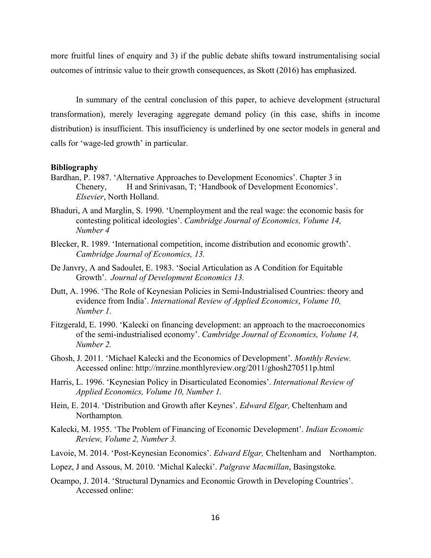more fruitful lines of enquiry and 3) if the public debate shifts toward instrumentalising social outcomes of intrinsic value to their growth consequences, as Skott (2016) has emphasized.

In summary of the central conclusion of this paper, to achieve development (structural transformation), merely leveraging aggregate demand policy (in this case, shifts in income distribution) is insufficient. This insufficiency is underlined by one sector models in general and calls for 'wage-led growth' in particular.

#### **Bibliography**

- Bardhan, P. 1987. 'Alternative Approaches to Development Economics'. Chapter 3 in Chenery, H and Srinivasan, T; 'Handbook of Development Economics'. *Elsevier*, North Holland.
- Bhaduri, A and Marglin, S. 1990. 'Unemployment and the real wage: the economic basis for contesting political ideologies'. *Cambridge Journal of Economics, Volume 14, Number 4*
- Blecker, R. 1989. 'International competition, income distribution and economic growth'. *Cambridge Journal of Economics, 13.*
- De Janvry, A and Sadoulet, E. 1983. 'Social Articulation as A Condition for Equitable Growth'. *Journal of Development Economics 13.*
- Dutt, A. 1996. 'The Role of Keynesian Policies in Semi-Industrialised Countries: theory and evidence from India'. *International Review of Applied Economics*, *Volume 10, Number 1.*
- Fitzgerald, E. 1990. 'Kalecki on financing development: an approach to the macroeconomics of the semi-industrialised economy'. *Cambridge Journal of Economics, Volume 14, Number 2.*
- Ghosh, J. 2011. 'Michael Kalecki and the Economics of Development'. *Monthly Review.*  Accessed online: http://mrzine.monthlyreview.org/2011/ghosh270511p.html
- Harris, L. 1996. 'Keynesian Policy in Disarticulated Economies'. *International Review of Applied Economics, Volume 10, Number 1.*
- Hein, E. 2014. 'Distribution and Growth after Keynes'. *Edward Elgar,* Cheltenham and Northampton*.*
- Kalecki, M. 1955. 'The Problem of Financing of Economic Development'. *Indian Economic Review, Volume 2, Number 3.*

Lavoie, M. 2014. 'Post-Keynesian Economics'. *Edward Elgar,* Cheltenham and Northampton.

- Lopez, J and Assous, M. 2010. 'Michal Kalecki'. *Palgrave Macmillan*, Basingstoke*.*
- Ocampo, J. 2014. 'Structural Dynamics and Economic Growth in Developing Countries'. Accessed online: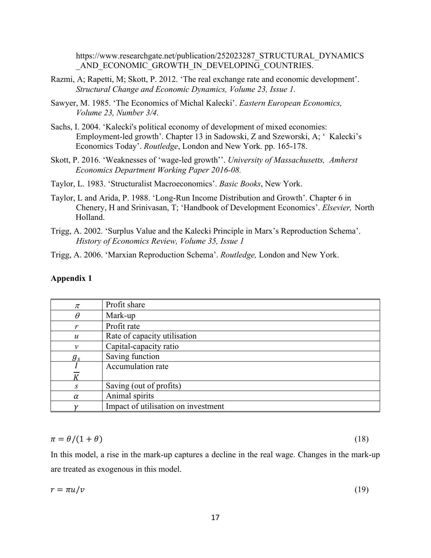https://www.researchgate.net/publication/252023287\_STRUCTURAL\_DYNAMICS AND ECONOMIC GROWTH IN DEVELOPING COUNTRIES.

- Razmi, A; Rapetti, M; Skott, P. 2012. 'The real exchange rate and economic development'. *Structural Change and Economic Dynamics, Volume 23, Issue 1.*
- Sawyer, M. 1985. 'The Economics of Michal Kalecki'. *Eastern European Economics, Volume 23, Number 3/4*.
- Sachs, I. 2004. 'Kalecki's political economy of development of mixed economies: Employment-led growth'. Chapter 13 in Sadowski, Z and Szeworski, A; ' Kalecki's Economics Today'. *Routledge*, London and New York*.* pp. 165-178.
- Skott, P. 2016. 'Weaknesses of 'wage-led growth''. *University of Massachusetts, Amherst Economics Department Working Paper 2016-08.*
- Taylor, L. 1983. 'Structuralist Macroeconomics'. *Basic Books*, New York.
- Taylor, L and Arida, P. 1988. 'Long-Run Income Distribution and Growth'. Chapter 6 in Chenery, H and Srinivasan, T; 'Handbook of Development Economics'. *Elsevier,* North Holland.
- Trigg, A. 2002. 'Surplus Value and the Kalecki Principle in Marx's Reproduction Schema'. *History of Economics Review, Volume 35, Issue 1*
- Trigg, A. 2006. 'Marxian Reproduction Schema'. *Routledge,* London and New York.

#### **Appendix 1**

| $\pi$            | Profit share                        |
|------------------|-------------------------------------|
| $\theta$         | Mark-up                             |
|                  | Profit rate                         |
| $\boldsymbol{u}$ | Rate of capacity utilisation        |
| ν                | Capital-capacity ratio              |
| $g_{s}$          | Saving function                     |
|                  | Accumulation rate                   |
|                  |                                     |
| S.               | Saving (out of profits)             |
| $\alpha$         | Animal spirits                      |
|                  | Impact of utilisation on investment |

$$
\pi = \theta/(1+\theta) \tag{18}
$$

In this model, a rise in the mark-up captures a decline in the real wage. Changes in the mark-up are treated as exogenous in this model.

$$
r = \pi u / v \tag{19}
$$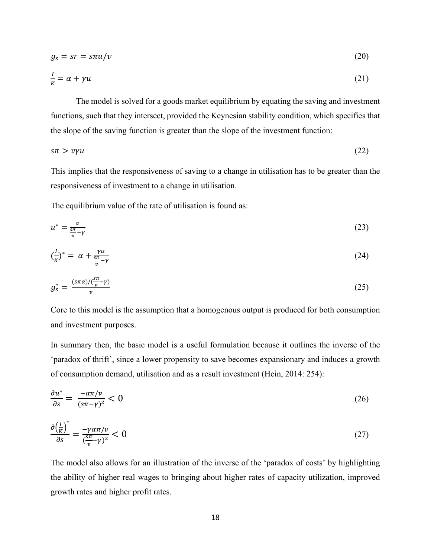$$
g_s = sr = s\pi u/v \tag{20}
$$

$$
\frac{l}{K} = \alpha + \gamma u \tag{21}
$$

The model is solved for a goods market equilibrium by equating the saving and investment functions, such that they intersect, provided the Keynesian stability condition, which specifies that the slope of the saving function is greater than the slope of the investment function:

$$
s\pi > \nu\gamma u\tag{22}
$$

This implies that the responsiveness of saving to a change in utilisation has to be greater than the responsiveness of investment to a change in utilisation.

The equilibrium value of the rate of utilisation is found as:

$$
u^* = \frac{a}{\frac{s\pi}{v} - \gamma} \tag{23}
$$

$$
\left(\frac{l}{K}\right)^* = \alpha + \frac{\gamma \alpha}{\frac{s\pi}{\nu} - \gamma} \tag{24}
$$

$$
g_s^* = \frac{(s\pi\alpha)/(\frac{s\pi}{\nu}\gamma)}{v} \tag{25}
$$

Core to this model is the assumption that a homogenous output is produced for both consumption and investment purposes.

In summary then, the basic model is a useful formulation because it outlines the inverse of the 'paradox of thrift', since a lower propensity to save becomes expansionary and induces a growth of consumption demand, utilisation and as a result investment (Hein, 2014: 254):

$$
\frac{\partial u^*}{\partial s} = \frac{-\alpha \pi / v}{(s \pi - \gamma)^2} < 0 \tag{26}
$$

$$
\frac{\partial \left(\frac{I}{K}\right)^*}{\partial s} = \frac{-\gamma \alpha \pi / \nu}{\left(\frac{s\pi}{\nu} - \gamma\right)^2} < 0 \tag{27}
$$

The model also allows for an illustration of the inverse of the 'paradox of costs' by highlighting the ability of higher real wages to bringing about higher rates of capacity utilization, improved growth rates and higher profit rates.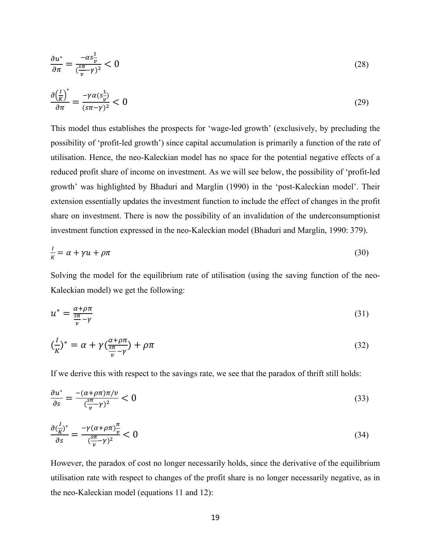$$
\frac{\partial u^*}{\partial \pi} = \frac{-\alpha s \frac{1}{v}}{(\frac{s\pi}{v} - \gamma)^2} < 0 \tag{28}
$$

$$
\frac{\partial \left(\frac{I}{K}\right)^{*}}{\partial \pi} = \frac{-\gamma \alpha (s_{\overline{\nu}}^1)}{(s\pi - \gamma)^2} < 0 \tag{29}
$$

This model thus establishes the prospects for 'wage-led growth' (exclusively, by precluding the possibility of 'profit-led growth') since capital accumulation is primarily a function of the rate of utilisation. Hence, the neo-Kaleckian model has no space for the potential negative effects of a reduced profit share of income on investment. As we will see below, the possibility of 'profit-led growth' was highlighted by Bhaduri and Marglin (1990) in the 'post-Kaleckian model'. Their extension essentially updates the investment function to include the effect of changes in the profit share on investment. There is now the possibility of an invalidation of the underconsumptionist investment function expressed in the neo-Kaleckian model (Bhaduri and Marglin, 1990: 379).

$$
\frac{l}{K} = \alpha + \gamma u + \rho \pi \tag{30}
$$

Solving the model for the equilibrium rate of utilisation (using the saving function of the neo-Kaleckian model) we get the following:

$$
u^* = \frac{\alpha + \rho \pi}{\frac{s\pi}{\nu} - \gamma} \tag{31}
$$

$$
\left(\frac{I}{K}\right)^{*} = \alpha + \gamma \left(\frac{\alpha + \rho \pi}{\frac{sn}{\nu} - \gamma}\right) + \rho \pi \tag{32}
$$

If we derive this with respect to the savings rate, we see that the paradox of thrift still holds:

$$
\frac{\partial u^*}{\partial s} = \frac{-(\alpha + \rho \pi)\pi/\nu}{(\frac{s\pi}{\nu} - \gamma)^2} < 0 \tag{33}
$$

$$
\frac{\partial \left(\frac{I}{K}\right)^*}{\partial s} = \frac{-\gamma (\alpha + \rho \pi) \frac{\pi}{\nu}}{\left(\frac{s\pi}{\nu} - \gamma\right)^2} < 0 \tag{34}
$$

However, the paradox of cost no longer necessarily holds, since the derivative of the equilibrium utilisation rate with respect to changes of the profit share is no longer necessarily negative, as in the neo-Kaleckian model (equations 11 and 12):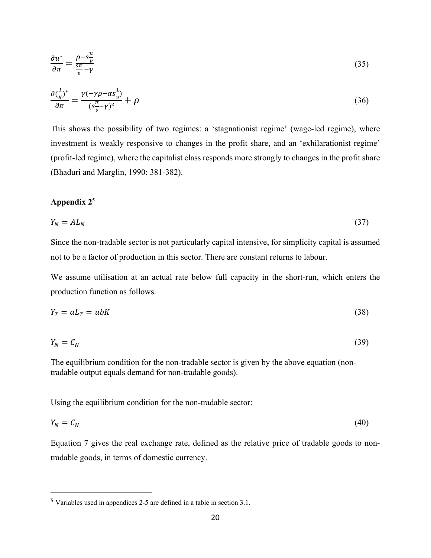$$
\frac{\partial u^*}{\partial \pi} = \frac{\rho - s\frac{u}{v}}{\frac{s\pi}{v} - \gamma} \tag{35}
$$

$$
\frac{\partial \left(\frac{I}{K}\right)^*}{\partial \pi} = \frac{\gamma(-\gamma \rho - \alpha s \frac{1}{\nu})}{(s \frac{\pi}{\nu} - \gamma)^2} + \rho \tag{36}
$$

This shows the possibility of two regimes: a 'stagnationist regime' (wage-led regime), where investment is weakly responsive to changes in the profit share, and an 'exhilarationist regime' (profit-led regime), where the capitalist class responds more strongly to changes in the profit share (Bhaduri and Marglin, 1990: 381-382).

#### **Appendix 2**<sup>5</sup>

$$
Y_N = A L_N \tag{37}
$$

Since the non-tradable sector is not particularly capital intensive, for simplicity capital is assumed not to be a factor of production in this sector. There are constant returns to labour.

We assume utilisation at an actual rate below full capacity in the short-run, which enters the production function as follows.

$$
Y_T = aL_T = ubK \tag{38}
$$

$$
Y_N = C_N \tag{39}
$$

The equilibrium condition for the non-tradable sector is given by the above equation (nontradable output equals demand for non-tradable goods).

Using the equilibrium condition for the non-tradable sector:

$$
Y_N = C_N \tag{40}
$$

Equation 7 gives the real exchange rate, defined as the relative price of tradable goods to nontradable goods, in terms of domestic currency.

 <sup>5</sup> Variables used in appendices 2-5 are defined in a table in section 3.1.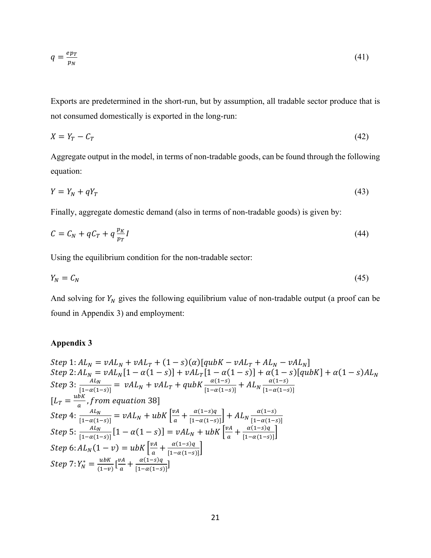$$
q = \frac{e p_T}{p_N}
$$

Exports are predetermined in the short-run, but by assumption, all tradable sector produce that is not consumed domestically is exported in the long-run:

(41)

$$
X = Y_T - C_T \tag{42}
$$

Aggregate output in the model, in terms of non-tradable goods, can be found through the following equation:

$$
Y = Y_N + qY_T \tag{43}
$$

Finally, aggregate domestic demand (also in terms of non-tradable goods) is given by:

$$
C = C_N + qC_T + q\frac{p_K}{p_T}I\tag{44}
$$

Using the equilibrium condition for the non-tradable sector:

$$
Y_N = C_N \tag{45}
$$

And solving for  $Y_N$  gives the following equilibrium value of non-tradable output (a proof can be found in Appendix 3) and employment:

### **Appendix 3**

Step 1: 
$$
AL_N = vAL_N + vAL_T + (1 - s)(\alpha)[qubK - vAL_T + AL_N - vAL_N]
$$
  
\nStep 2:  $AL_N = vAL_N[1 - \alpha(1 - s)] + vAL_T[1 - \alpha(1 - s)] + \alpha(1 - s)[qubK] + \alpha(1 - s)AL_N$   
\nStep 3:  $\frac{AL_N}{[1 - \alpha(1 - s)]} = vAL_N + vAL_T + qubK \frac{\alpha(1 - s)}{[1 - \alpha(1 - s)]} + AL_N \frac{\alpha(1 - s)}{[1 - \alpha(1 - s)]}$   
\n $[L_T = \frac{ubK}{a}, from equation 38]$   
\nStep 4:  $\frac{AL_N}{[1 - \alpha(1 - s)]} = vAL_N + ubK \left[ \frac{vA}{a} + \frac{\alpha(1 - s)q}{[1 - \alpha(1 - s)]} \right] + AL_N \frac{\alpha(1 - s)}{[1 - \alpha(1 - s)]}$   
\nStep 5:  $\frac{AL_N}{[1 - \alpha(1 - s)]} [1 - \alpha(1 - s)] = vAL_N + ubK \left[ \frac{vA}{a} + \frac{\alpha(1 - s)q}{[1 - \alpha(1 - s)]} \right]$   
\nStep 6:  $AL_N(1 - v) = ubK \left[ \frac{vA}{a} + \frac{\alpha(1 - s)q}{[1 - \alpha(1 - s)]} \right]$   
\nStep 7:  $Y_N^* = \frac{ubK}{(1 - v)} \left[ \frac{vA}{a} + \frac{\alpha(1 - s)q}{[1 - \alpha(1 - s)]} \right]$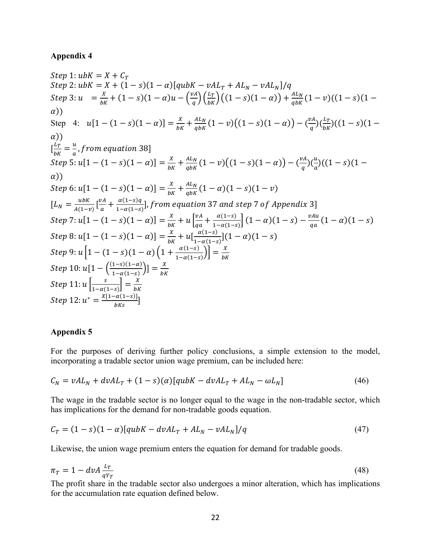#### **Appendix 4**

 $Step 1: ubK = X + C_T$  $Step 2: ubK = X + (1 - s)(1 - \alpha)[qubK - vAL_T + AL_N - vAL_N]/q$  $Step 3: u = {X \over bK} + (1-s)(1-\alpha)u - {vA \choose q}({L_T \over bK})((1-s)(1-\alpha)) + {A L_N \over q bK}(1-v)((1-s)(1-\alpha))$  $\alpha$ )) Step 4:  $u[1 - (1 - s)(1 - \alpha)] = \frac{x}{bK} + \frac{AL_N}{qbK}(1 - v)((1 - s)(1 - \alpha)) - (\frac{vA}{q})(\frac{L_T}{bK})((1 - s)(1 - \alpha))$  $\alpha$ )  $\left[\frac{L_T}{bK}=\frac{u}{a}, from\ equation\ 38\right]$  $Step 5: u[1 - (1 - s)(1 - \alpha)] = \frac{x}{bK} + \frac{AL_N}{q bK}(1 - v)((1 - s)(1 - \alpha)) - (\frac{vA}{q})(\frac{u}{a})$  $\frac{u}{a}$ )((1 – s)(1 –  $\alpha$ )) Step 6:  $u[1 - (1 - s)(1 - \alpha)] = \frac{X}{bK} + \frac{AL_N}{q bK}(1 - \alpha)(1 - s)(1 - v)$  $[L_N = \frac{ubK}{A(1-v)}\left[\frac{vA}{a} + \frac{\alpha(1-s)q}{1-\alpha(1-s)}\right]$ , from equation 37 and step 7 of Appendix 3]  $Step 7: u[1 - (1 - s)(1 - \alpha)] = \frac{x}{bK} + u \left[\frac{vA}{qa}\right]$  $\frac{v_A}{qa} + \frac{\alpha(1-s)}{1-\alpha(1-s)} \Big[ (1-\alpha)(1-s) - \frac{v_{Au}}{qa} (1-\alpha)(1-s) \Big]$  $Step 8: u[1-(1-s)(1-\alpha)] = \frac{x}{bK} + u[\frac{\alpha(1-s)}{1-\alpha(1-s)}](1-\alpha)(1-s)$ Step 9:  $u\left[1 - (1 - s)(1 - \alpha)\left(1 + \frac{\alpha(1 - s)}{1 - \alpha(1 - s)}\right)\right] = \frac{x}{bK}$  $Step 10: u[1 - \left(\frac{(1-s)(1-\alpha)}{1-\alpha(1-s)}\right)] = \frac{x}{bK}$ Step  $11: u\left[\frac{s}{1-\alpha(1-s)}\right] = \frac{X}{bK}$  $Step 12: u^* = \frac{X[1 - \alpha(1 - s)]}{bKs}]$ 

#### **Appendix 5**

For the purposes of deriving further policy conclusions, a simple extension to the model, incorporating a tradable sector union wage premium, can be included here:

$$
C_N = vAL_N + dvAL_T + (1 - s)(\alpha)[qubK - dvAL_T + AL_N - \omega L_N]
$$
\n(46)

The wage in the tradable sector is no longer equal to the wage in the non-tradable sector, which has implications for the demand for non-tradable goods equation.

$$
C_T = (1 - s)(1 - \alpha)[qubK - dvAL_T + AL_N - vAL_N]/q \qquad (47)
$$

Likewise, the union wage premium enters the equation for demand for tradable goods.

$$
\pi_T = 1 - d\nu A \frac{L_T}{qY_T} \tag{48}
$$

The profit share in the tradable sector also undergoes a minor alteration, which has implications for the accumulation rate equation defined below.